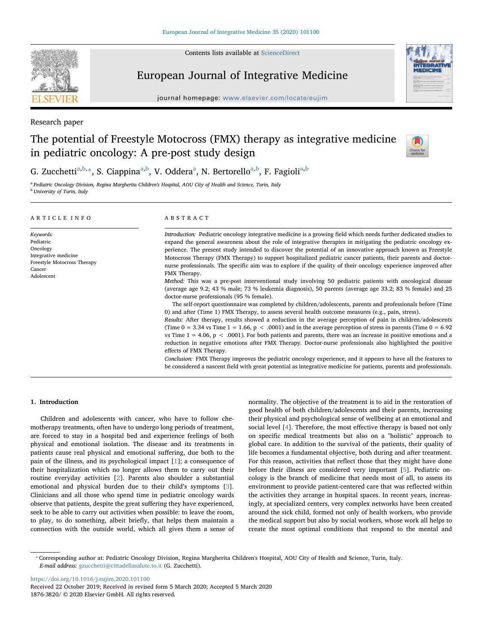Contents lists available at [ScienceDirect](http://www.sciencedirect.com/science/journal/18763820)



# European Journal of Integrative Medicine

journal homepage: [www.elsevier.com/locate/eujim](https://www.elsevier.com/locate/eujim)

Research paper

## The potential of Freestyle Motocross (FMX) therapy as integrative medicine in pediatric oncology: A pre-post study design



## G. Zucchetti<sup>[a](#page-0-0)[,b,](#page-0-1)</sup>[\\*](#page-0-2), S. Ciappina<sup>a[,b](#page-0-1)</sup>, V. Oddera<sup>a</sup>, N. Bertorello<sup>a,b</sup>, F. Fagioli<sup>a,b</sup>

<span id="page-0-1"></span><span id="page-0-0"></span><sup>a</sup> Pediatric Oncology Division, Regina Margherita Children's Hospital, AOU City of Health and Science, Turin, Italy **b** University of Turin, Italy

## ARTICLE INFO

Keywords: Pediatric Oncology Integrative medicine Freestyle Motocross Therapy Cancer Adolescent

## ABSTRACT

Introduction: Pediatric oncology integrative medicine is a growing field which needs further dedicated studies to expand the general awareness about the role of integrative therapies in mitigating the pediatric oncology experience. The present study intended to discover the potential of an innovative approach known as Freestyle Motocross Therapy (FMX Therapy) to support hospitalized pediatric cancer patients, their parents and doctornurse professionals. The specific aim was to explore if the quality of their oncology experience improved after FMX Therapy.

Method: This was a pre-post interventional study involving 50 pediatric patients with oncological disease (average age 9.2; 43 % male; 73 % leukemia diagnosis), 50 parents (average age 33.2; 83 % female) and 25 doctor-nurse professionals (95 % female).

The self-report questionnaire was completed by children/adolescents, parents and professionals before (Time 0) and after (Time 1) FMX Therapy, to assess several health outcome measures (e.g., pain, stress).

Results: After therapy, results showed a reduction in the average perception of pain in children/adolescents (Time  $0 = 3.34$  vs Time  $1 = 1.66$ ,  $p < .0001$ ) and in the average perception of stress in parents (Time  $0 = 6.92$ ) vs Time  $1 = 4.06$ ,  $p < .0001$ ). For both patients and parents, there was an increase in positive emotions and a reduction in negative emotions after FMX Therapy. Doctor-nurse professionals also highlighted the positive effects of FMX Therapy.

Conclusion: FMX Therapy improves the pediatric oncology experience, and it appears to have all the features to be considered a nascent field with great potential as integrative medicine for patients, parents and professionals.

## 1. Introduction

Children and adolescents with cancer, who have to follow chemotherapy treatments, often have to undergo long periods of treatment, are forced to stay in a hospital bed and experience feelings of both physical and emotional isolation. The disease and its treatments in patients cause real physical and emotional suffering, due both to the pain of the illness, and its psychological impact [[1](#page-5-0)]; a consequence of their hospitalization which no longer allows them to carry out their routine everyday activities [[2](#page-5-1)]. Parents also shoulder a substantial emotional and physical burden due to their child's symptoms [[3](#page-5-2)]. Clinicians and all those who spend time in pediatric oncology wards observe that patients, despite the great suffering they have experienced, seek to be able to carry out activities when possible: to leave the room, to play, to do something, albeit briefly, that helps them maintain a connection with the outside world, which all gives them a sense of normality. The objective of the treatment is to aid in the restoration of good health of both children/adolescents and their parents, increasing their physical and psychological sense of wellbeing at an emotional and social level [[4](#page-5-3)]. Therefore, the most effective therapy is based not only on specific medical treatments but also on a "holistic" approach to global care. In addition to the survival of the patients, their quality of life becomes a fundamental objective, both during and after treatment. For this reason, activities that reflect those that they might have done before their illness are considered very important [\[5\]](#page-5-4). Pediatric oncology is the branch of medicine that needs most of all, to assess its environment to provide patient-centered care that was reflected within the activities they arrange in hospital spaces. In recent years, increasingly, at specialized centers, very complex networks have been created around the sick child, formed not only of health workers, who provide the medical support but also by social workers, whose work all helps to create the most optimal conditions that respond to the mental and

<https://doi.org/10.1016/j.eujim.2020.101100>

<span id="page-0-2"></span><sup>⁎</sup> Corresponding author at: Pediatric Oncology Division, Regina Margherita Children's Hospital, AOU City of Health and Science, Turin, Italy. E-mail address: [gzucchetti@cittadellasalute.to.it](mailto:gzucchetti@cittadellasalute.to.it) (G. Zucchetti).

Received 22 October 2019; Received in revised form 5 March 2020; Accepted 5 March 2020 1876-3820/ © 2020 Elsevier GmbH. All rights reserved.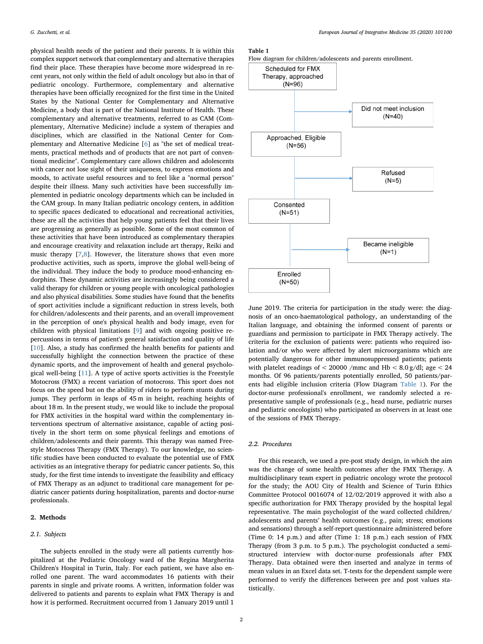physical health needs of the patient and their parents. It is within this complex support network that complementary and alternative therapies find their place. These therapies have become more widespread in recent years, not only within the field of adult oncology but also in that of pediatric oncology. Furthermore, complementary and alternative therapies have been officially recognized for the first time in the United States by the National Center for Complementary and Alternative Medicine, a body that is part of the National Institute of Health. These complementary and alternative treatments, referred to as CAM (Complementary, Alternative Medicine) include a system of therapies and disciplines, which are classified in the National Center for Complementary and Alternative Medicine [[6](#page-5-5)] as "the set of medical treatments, practical methods and of products that are not part of conventional medicine". Complementary care allows children and adolescents with cancer not lose sight of their uniqueness, to express emotions and moods, to activate useful resources and to feel like a "normal person" despite their illness. Many such activities have been successfully implemented in pediatric oncology departments which can be included in the CAM group. In many Italian pediatric oncology centers, in addition to specific spaces dedicated to educational and recreational activities, these are all the activities that help young patients feel that their lives are progressing as generally as possible. Some of the most common of these activities that have been introduced as complementary therapies and encourage creativity and relaxation include art therapy, Reiki and music therapy [\[7](#page-5-6)[,8\]](#page-5-7). However, the literature shows that even more productive activities, such as sports, improve the global well-being of the individual. They induce the body to produce mood-enhancing endorphins. These dynamic activities are increasingly being considered a valid therapy for children or young people with oncological pathologies and also physical disabilities. Some studies have found that the benefits of sport activities include a significant reduction in stress levels, both for children/adolescents and their parents, and an overall improvement in the perception of one's physical health and body image, even for children with physical limitations [[9](#page-5-8)] and with ongoing positive repercussions in terms of patient's general satisfaction and quality of life [[10\]](#page-5-9). Also, a study has confirmed the health benefits for patients and successfully highlight the connection between the practice of these dynamic sports, and the improvement of health and general psychological well-being [\[11\]](#page-5-10). A type of active sports activities is the Freestyle Motocross (FMX) a recent variation of motocross. This sport does not focus on the speed but on the ability of riders to perform stunts during jumps. They perform in leaps of 45 m in height, reaching heights of about 18 m. In the present study, we would like to include the proposal for FMX activities in the hospital ward within the complementary interventions spectrum of alternative assistance, capable of acting positively in the short term on some physical feelings and emotions of children/adolescents and their parents. This therapy was named Freestyle Motocross Therapy (FMX Therapy). To our knowledge, no scientific studies have been conducted to evaluate the potential use of FMX activities as an integrative therapy for pediatric cancer patients. So, this study, for the first time intends to investigate the feasibility and efficacy of FMX Therapy as an adjunct to traditional care management for pediatric cancer patients during hospitalization, parents and doctor-nurse professionals.

## 2. Methods

## 2.1. Subjects

The subjects enrolled in the study were all patients currently hospitalized at the Pediatric Oncology ward of the Regina Margherita Children's Hospital in Turin, Italy. For each patient, we have also enrolled one parent. The ward accommodates 16 patients with their parents in single and private rooms. A written, information folder was delivered to patients and parents to explain what FMX Therapy is and how it is performed. Recruitment occurred from 1 January 2019 until 1

#### <span id="page-1-0"></span>Table 1



June 2019. The criteria for participation in the study were: the diagnosis of an onco-haematological pathology, an understanding of the Italian language, and obtaining the informed consent of parents or guardians and permission to participate in FMX Therapy actively. The criteria for the exclusion of patients were: patients who required isolation and/or who were affected by alert microorganisms which are potentially dangerous for other immunosuppressed patients; patients with platelet readings of  $<$  20000 /mmc and Hb  $<$  8.0 g/dl; age  $<$  24 months. Of 96 patients/parents potentially enrolled, 50 patients/parents had eligible inclusion criteria (Flow Diagram [Table 1\)](#page-1-0). For the doctor-nurse professional's enrollment, we randomly selected a representative sample of professionals (e.g., head nurse, pediatric nurses and pediatric oncologists) who participated as observers in at least one of the sessions of FMX Therapy.

## 2.2. Procedures

For this research, we used a pre-post study design, in which the aim was the change of some health outcomes after the FMX Therapy. A multidisciplinary team expert in pediatric oncology wrote the protocol for the study; the AOU City of Health and Science of Turin Ethics Committee Protocol 0016074 of 12/02/2019 approved it with also a specific authorization for FMX Therapy provided by the hospital legal representative. The main psychologist of the ward collected children/ adolescents and parents' health outcomes (e.g., pain; stress; emotions and sensations) through a self-report questionnaire administered before (Time 0: 14 p.m.) and after (Time 1: 18 p.m.) each session of FMX Therapy (from 3 p.m. to 5 p.m.). The psychologist conducted a semistructured interview with doctor-nurse professionals after FMX Therapy. Data obtained were then inserted and analyze in terms of mean values in an Excel data set. T-tests for the dependent sample were performed to verify the differences between pre and post values statistically.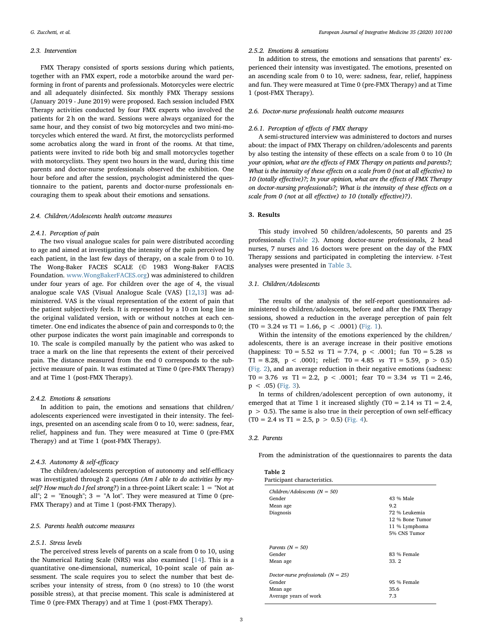#### 2.3. Intervention

FMX Therapy consisted of sports sessions during which patients, together with an FMX expert, rode a motorbike around the ward performing in front of parents and professionals. Motorcycles were electric and all adequately disinfected. Six monthly FMX Therapy sessions (January 2019 - June 2019) were proposed. Each session included FMX Therapy activities conducted by four FMX experts who involved the patients for 2 h on the ward. Sessions were always organized for the same hour, and they consist of two big motorcycles and two mini-motorcycles which entered the ward. At first, the motorcyclists performed some acrobatics along the ward in front of the rooms. At that time, patients were invited to ride both big and small motorcycles together with motorcyclists. They spent two hours in the ward, during this time parents and doctor-nurse professionals observed the exhibition. One hour before and after the session, psychologist administered the questionnaire to the patient, parents and doctor-nurse professionals encouraging them to speak about their emotions and sensations.

#### 2.4. Children/Adolescents health outcome measures

#### 2.4.1. Perception of pain

The two visual analogue scales for pain were distributed according to age and aimed at investigating the intensity of the pain perceived by each patient, in the last few days of therapy, on a scale from 0 to 10. The Wong-Baker FACES SCALE (© 1983 Wong-Baker FACES Foundation. [www.WongBakerFACES.org](http://www.WongBakerFACES.org)) was administered to children under four years of age. For children over the age of 4, the visual analogue scale VAS (Visual Analogue Scale (VAS) [[12](#page-5-11)[,13](#page-5-12)] was administered. VAS is the visual representation of the extent of pain that the patient subjectively feels. It is represented by a 10 cm long line in the original validated version, with or without notches at each centimeter. One end indicates the absence of pain and corresponds to 0; the other purpose indicates the worst pain imaginable and corresponds to 10. The scale is compiled manually by the patient who was asked to trace a mark on the line that represents the extent of their perceived pain. The distance measured from the end 0 corresponds to the subjective measure of pain. It was estimated at Time 0 (pre-FMX Therapy) and at Time 1 (post-FMX Therapy).

#### 2.4.2. Emotions & sensations

In addition to pain, the emotions and sensations that children/ adolescents experienced were investigated in their intensity. The feelings, presented on an ascending scale from 0 to 10, were: sadness, fear, relief, happiness and fun. They were measured at Time 0 (pre-FMX Therapy) and at Time 1 (post-FMX Therapy).

#### 2.4.3. Autonomy & self-efficacy

The children/adolescents perception of autonomy and self-efficacy was investigated through 2 questions (Am I able to do activities by myself? How much do I feel strong?) in a three-point Likert scale:  $1 =$  "Not at all";  $2 =$  "Enough";  $3 =$  "A lot". They were measured at Time 0 (pre-FMX Therapy) and at Time 1 (post-FMX Therapy).

## 2.5. Parents health outcome measures

## 2.5.1. Stress levels

The perceived stress levels of parents on a scale from 0 to 10, using the Numerical Rating Scale (NRS) was also examined [\[14](#page-5-13)]. This is a quantitative one-dimensional, numerical, 10-point scale of pain assessment. The scale requires you to select the number that best describes your intensity of stress, from 0 (no stress) to 10 (the worst possible stress), at that precise moment. This scale is administered at Time 0 (pre-FMX Therapy) and at Time 1 (post-FMX Therapy).

#### 2.5.2. Emotions & sensations

In addition to stress, the emotions and sensations that parents' experienced their intensity was investigated. The emotions, presented on an ascending scale from 0 to 10, were: sadness, fear, relief, happiness and fun. They were measured at Time 0 (pre-FMX Therapy) and at Time 1 (post-FMX Therapy).

## 2.6. Doctor-nurse professionals health outcome measures

### 2.6.1. Perception of effects of FMX therapy

A semi-structured interview was administered to doctors and nurses about: the impact of FMX Therapy on children/adolescents and parents by also testing the intensity of these effects on a scale from 0 to 10 (In your opinion, what are the effects of FMX Therapy on patients and parents?; What is the intensity of these effects on a scale from 0 (not at all effective) to 10 (totally effective)?; In your opinion, what are the effects of FMX Therapy on doctor-nursing professionals?; What is the intensity of these effects on a scale from 0 (not at all effective) to 10 (totally effective)?).

## 3. Results

This study involved 50 children/adolescents, 50 parents and 25 professionals [\(Table 2\)](#page-2-0). Among doctor-nurse professionals, 2 head nurses, 7 nurses and 16 doctors were present on the day of the FMX Therapy sessions and participated in completing the interview. t-Test analyses were presented in [Table 3.](#page-3-0)

## 3.1. Children/Adolescents

The results of the analysis of the self-report questionnaires administered to children/adolescents, before and after the FMX Therapy sessions, showed a reduction in the average perception of pain felt  $(T0 = 3.24 \text{ vs } T1 = 1.66, p < .0001)$  [\(Fig. 1](#page-3-1)).

Within the intensity of the emotions experienced by the children/ adolescents, there is an average increase in their positive emotions (happiness: T0 = 5.52 *vs* T1 = 7.74,  $p < .0001$ ; fun T0 = 5.28 *vs* T1 = 8.28, p < .0001; relief: T0 = 4.85 vs T1 = 5.59, p > 0.5) ([Fig. 2\)](#page-3-2), and an average reduction in their negative emotions (sadness: T0 = 3.76  $vs$  T1 = 2.2,  $p < .0001$ ; fear T0 = 3.34  $vs$  T1 = 2.46,  $p < .05$ ) [\(Fig. 3](#page-3-3)).

In terms of children/adolescent perception of own autonomy, it emerged that at Time 1 it increased slightly (T0 = 2.14  $vs$  T1 = 2.4,  $p > 0.5$ ). The same is also true in their perception of own self-efficacy  $(T0 = 2.4 \text{ vs } T1 = 2.5, p > 0.5)$  [\(Fig. 4](#page-3-4)).

## 3.2. Parents

From the administration of the questionnaires to parents the data

<span id="page-2-0"></span>

| Table |  |  |
|-------|--|--|
|       |  |  |

| 43 % Male       |
|-----------------|
| 9.2             |
| 72 % Leukemia   |
| 12 % Bone Tumor |
| 11 % Lymphoma   |
| 5% CNS Tumor    |
|                 |
| 83 % Female     |
| 33. 2           |
|                 |
| 95 % Female     |
| 35.6            |
| 7.3             |
|                 |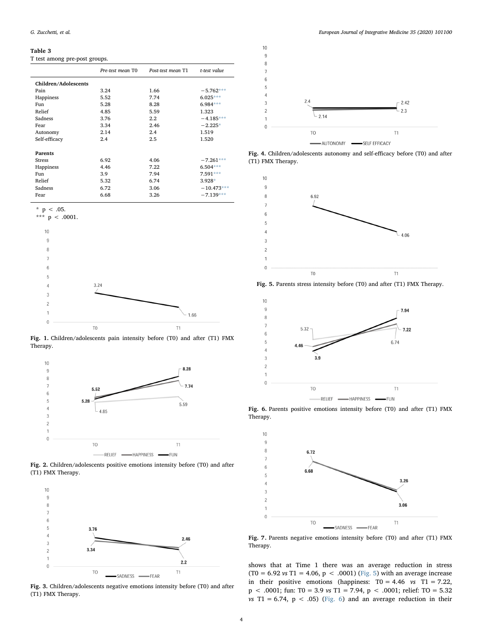#### <span id="page-3-0"></span>Table 3

T test among pre-post groups.

|                      | Pre-test mean T0 | Post-test mean T1 | t-test value |
|----------------------|------------------|-------------------|--------------|
| Children/Adolescents |                  |                   |              |
| Pain                 | 3.24             | 1.66              | $-5.762***$  |
| Happiness            | 5.52             | 7.74              | $6.025***$   |
| Fun                  | 5.28             | 8.28              | $6.984***$   |
| Relief               | 4.85             | 5.59              | 1.323        |
| Sadness              | 3.76             | $2.2^{\circ}$     | $-4.185***$  |
| Fear                 | 3.34             | 2.46              | $-2.225*$    |
| Autonomy             | 2.14             | 2.4               | 1.519        |
| Self-efficacy        | 2.4              | 2.5               | 1.520        |
|                      |                  |                   |              |
| <b>Parents</b>       |                  |                   |              |
| Stress               | 6.92             | 4.06              | $-7.261***$  |
| Happiness            | 4.46             | 7.22              | $6.504***$   |
| Fun                  | 3.9              | 7.94              | 7.591***     |
| Relief               | 5.32             | 6.74              | $3.928*$     |
| Sadness              | 6.72             | 3.06              | $-10.473***$ |
| Fear                 | 6.68             | 3.26              | $-7.139***$  |

<span id="page-3-8"></span> $p < .05$ .

<span id="page-3-7"></span>

<span id="page-3-1"></span>

Fig. 1. Children/adolescents pain intensity before (T0) and after (T1) FMX Therapy.

<span id="page-3-2"></span>



<span id="page-3-3"></span>

Fig. 3. Children/adolescents negative emotions intensity before (T0) and after (T1) FMX Therapy.

<span id="page-3-4"></span>

Fig. 4. Children/adolescents autonomy and self-efficacy before (T0) and after (T1) FMX Therapy.

<span id="page-3-5"></span>

Fig. 5. Parents stress intensity before (T0) and after (T1) FMX Therapy.

<span id="page-3-6"></span>

Fig. 6. Parents positive emotions intensity before (T0) and after (T1) FMX Therapy.

<span id="page-3-9"></span>

Fig. 7. Parents negative emotions intensity before (T0) and after (T1) FMX Therapy.

shows that at Time 1 there was an average reduction in stress (T0 = 6.92 vs T1 = 4.06, p < .0001) ([Fig. 5\)](#page-3-5) with an average increase in their positive emotions (happiness:  $T0 = 4.46$  vs  $T1 = 7.22$ , p < .0001; fun: T0 = 3.9 vs T1 = 7.94, p < .0001; relief: TO = 5.32 vs T1 = 6.74,  $p < .05$ ) [\(Fig. 6](#page-3-6)) and an average reduction in their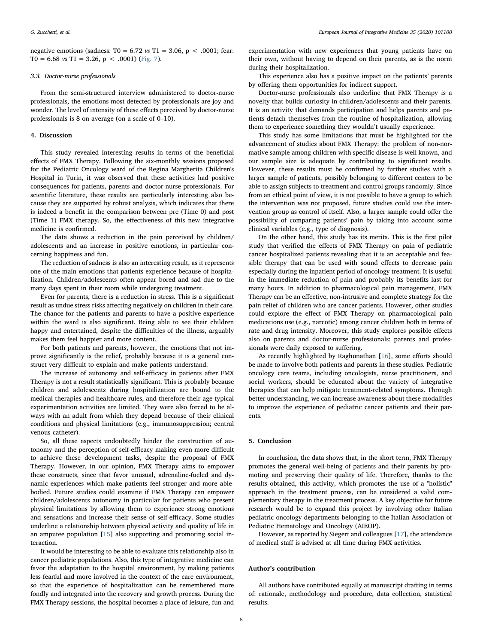negative emotions (sadness: T0 = 6.72  $\text{vs}$  T1 = 3.06, p < .0001; fear: T0 = 6.68 vs T1 = 3.26, p < .0001) [\(Fig. 7](#page-3-9)).

## 3.3. Doctor-nurse professionals

From the semi-structured interview administered to doctor-nurse professionals, the emotions most detected by professionals are joy and wonder. The level of intensity of these effects perceived by doctor-nurse professionals is 8 on average (on a scale of 0–10).

## 4. Discussion

This study revealed interesting results in terms of the beneficial effects of FMX Therapy. Following the six-monthly sessions proposed for the Pediatric Oncology ward of the Regina Margherita Children's Hospital in Turin, it was observed that these activities had positive consequences for patients, parents and doctor-nurse professionals. For scientific literature, these results are particularly interesting also because they are supported by robust analysis, which indicates that there is indeed a benefit in the comparison between pre (Time 0) and post (Time 1) FMX therapy. So, the effectiveness of this new integrative medicine is confirmed.

The data shows a reduction in the pain perceived by children/ adolescents and an increase in positive emotions, in particular concerning happiness and fun.

The reduction of sadness is also an interesting result, as it represents one of the main emotions that patients experience because of hospitalization. Children/adolescents often appear bored and sad due to the many days spent in their room while undergoing treatment.

Even for parents, there is a reduction in stress. This is a significant result as undue stress risks affecting negatively on children in their care. The chance for the patients and parents to have a positive experience within the ward is also significant. Being able to see their children happy and entertained, despite the difficulties of the illness, arguably makes them feel happier and more content.

For both patients and parents, however, the emotions that not improve significantly is the relief, probably because it is a general construct very difficult to explain and make patients understand.

The increase of autonomy and self-efficacy in patients after FMX Therapy is not a result statistically significant. This is probably because children and adolescents during hospitalization are bound to the medical therapies and healthcare rules, and therefore their age-typical experimentation activities are limited. They were also forced to be always with an adult from which they depend because of their clinical conditions and physical limitations (e.g., immunosuppression; central venous catheter).

So, all these aspects undoubtedly hinder the construction of autonomy and the perception of self-efficacy making even more difficult to achieve these development tasks, despite the proposal of FMX Therapy. However, in our opinion, FMX Therapy aims to empower these constructs, since that favor unusual, adrenaline-fueled and dynamic experiences which make patients feel stronger and more ablebodied. Future studies could examine if FMX Therapy can empower children/adolescents autonomy in particular for patients who present physical limitations by allowing them to experience strong emotions and sensations and increase their sense of self-efficacy. Some studies underline a relationship between physical activity and quality of life in an amputee population [\[15](#page-5-14)] also supporting and promoting social interaction.

It would be interesting to be able to evaluate this relationship also in cancer pediatric populations. Also, this type of integrative medicine can favor the adaptation to the hospital environment, by making patients less fearful and more involved in the context of the care environment, so that the experience of hospitalization can be remembered more fondly and integrated into the recovery and growth process. During the FMX Therapy sessions, the hospital becomes a place of leisure, fun and

experimentation with new experiences that young patients have on their own, without having to depend on their parents, as is the norm during their hospitalization.

This experience also has a positive impact on the patients' parents by offering them opportunities for indirect support.

Doctor-nurse professionals also underline that FMX Therapy is a novelty that builds curiosity in children/adolescents and their parents. It is an activity that demands participation and helps parents and patients detach themselves from the routine of hospitalization, allowing them to experience something they wouldn't usually experience.

This study has some limitations that must be highlighted for the advancement of studies about FMX Therapy: the problem of non-normative sample among children with specific disease is well known, and our sample size is adequate by contributing to significant results. However, these results must be confirmed by further studies with a larger sample of patients, possibly belonging to different centers to be able to assign subjects to treatment and control groups randomly. Since from an ethical point of view, it is not possible to have a group to which the intervention was not proposed, future studies could use the intervention group as control of itself. Also, a larger sample could offer the possibility of comparing patients' pain by taking into account some clinical variables (e.g., type of diagnosis).

On the other hand, this study has its merits. This is the first pilot study that verified the effects of FMX Therapy on pain of pediatric cancer hospitalized patients revealing that it is an acceptable and feasible therapy that can be used with sound effects to decrease pain especially during the inpatient period of oncology treatment. It is useful in the immediate reduction of pain and probably its benefits last for many hours. In addition to pharmacological pain management, FMX Therapy can be an effective, non-intrusive and complete strategy for the pain relief of children who are cancer patients. However, other studies could explore the effect of FMX Therapy on pharmacological pain medications use (e.g., narcotic) among cancer children both in terms of rate and drug intensity. Moreover, this study explores possible effects also on parents and doctor-nurse professionals: parents and professionals were daily exposed to suffering.

As recently highlighted by Raghunathan [\[16](#page-5-15)], some efforts should be made to involve both patients and parents in these studies. Pediatric oncology care teams, including oncologists, nurse practitioners, and social workers, should be educated about the variety of integrative therapies that can help mitigate treatment-related symptoms. Through better understanding, we can increase awareness about these modalities to improve the experience of pediatric cancer patients and their parents.

#### 5. Conclusion

In conclusion, the data shows that, in the short term, FMX Therapy promotes the general well-being of patients and their parents by promoting and preserving their quality of life. Therefore, thanks to the results obtained, this activity, which promotes the use of a "holistic" approach in the treatment process, can be considered a valid complementary therapy in the treatment process. A key objective for future research would be to expand this project by involving other Italian pediatric oncology departments belonging to the Italian Association of Pediatric Hematology and Oncology (AIEOP).

However, as reported by Siegert and colleagues [\[17\]](#page-5-16), the attendance of medical staff is advised at all time during FMX activities.

#### Author's contribution

All authors have contributed equally at manuscript drafting in terms of: rationale, methodology and procedure, data collection, statistical results.